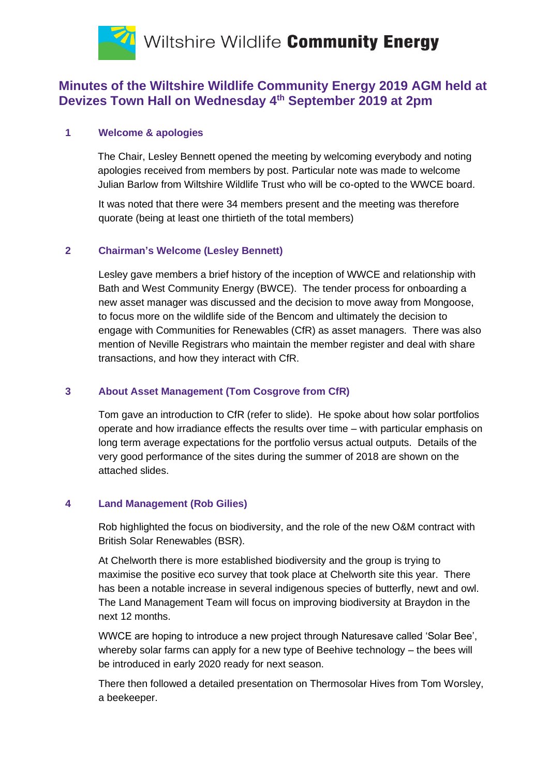

# **Minutes of the Wiltshire Wildlife Community Energy 2019 AGM held at Devizes Town Hall on Wednesday 4th September 2019 at 2pm**

## **1 Welcome & apologies**

The Chair, Lesley Bennett opened the meeting by welcoming everybody and noting apologies received from members by post. Particular note was made to welcome Julian Barlow from Wiltshire Wildlife Trust who will be co-opted to the WWCE board.

It was noted that there were 34 members present and the meeting was therefore quorate (being at least one thirtieth of the total members)

## **2 Chairman's Welcome (Lesley Bennett)**

Lesley gave members a brief history of the inception of WWCE and relationship with Bath and West Community Energy (BWCE). The tender process for onboarding a new asset manager was discussed and the decision to move away from Mongoose, to focus more on the wildlife side of the Bencom and ultimately the decision to engage with Communities for Renewables (CfR) as asset managers. There was also mention of Neville Registrars who maintain the member register and deal with share transactions, and how they interact with CfR.

# **3 About Asset Management (Tom Cosgrove from CfR)**

Tom gave an introduction to CfR (refer to slide). He spoke about how solar portfolios operate and how irradiance effects the results over time – with particular emphasis on long term average expectations for the portfolio versus actual outputs. Details of the very good performance of the sites during the summer of 2018 are shown on the attached slides.

#### **4 Land Management (Rob Gilies)**

Rob highlighted the focus on biodiversity, and the role of the new O&M contract with British Solar Renewables (BSR).

At Chelworth there is more established biodiversity and the group is trying to maximise the positive eco survey that took place at Chelworth site this year. There has been a notable increase in several indigenous species of butterfly, newt and owl. The Land Management Team will focus on improving biodiversity at Braydon in the next 12 months.

WWCE are hoping to introduce a new project through Naturesave called 'Solar Bee', whereby solar farms can apply for a new type of Beehive technology – the bees will be introduced in early 2020 ready for next season.

There then followed a detailed presentation on Thermosolar Hives from Tom Worsley, a beekeeper.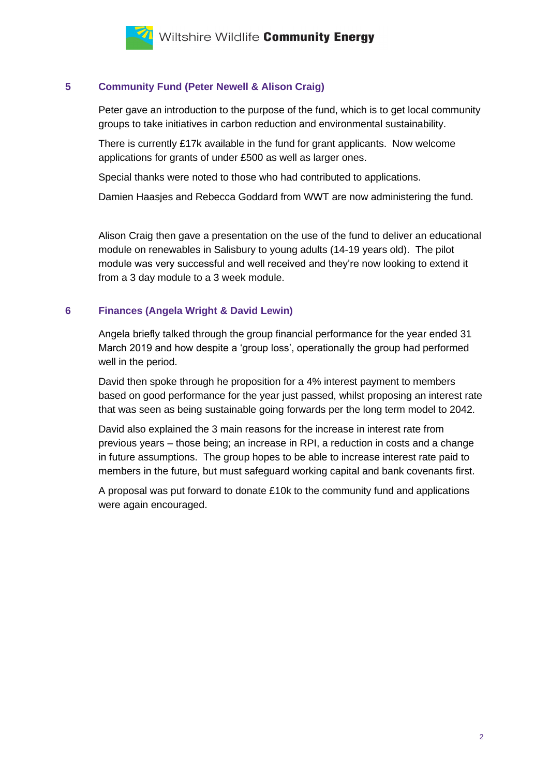

## **5 Community Fund (Peter Newell & Alison Craig)**

Peter gave an introduction to the purpose of the fund, which is to get local community groups to take initiatives in carbon reduction and environmental sustainability.

There is currently £17k available in the fund for grant applicants. Now welcome applications for grants of under £500 as well as larger ones.

Special thanks were noted to those who had contributed to applications.

Damien Haasjes and Rebecca Goddard from WWT are now administering the fund.

Alison Craig then gave a presentation on the use of the fund to deliver an educational module on renewables in Salisbury to young adults (14-19 years old). The pilot module was very successful and well received and they're now looking to extend it from a 3 day module to a 3 week module.

#### **6 Finances (Angela Wright & David Lewin)**

Angela briefly talked through the group financial performance for the year ended 31 March 2019 and how despite a 'group loss', operationally the group had performed well in the period.

David then spoke through he proposition for a 4% interest payment to members based on good performance for the year just passed, whilst proposing an interest rate that was seen as being sustainable going forwards per the long term model to 2042.

David also explained the 3 main reasons for the increase in interest rate from previous years – those being; an increase in RPI, a reduction in costs and a change in future assumptions. The group hopes to be able to increase interest rate paid to members in the future, but must safeguard working capital and bank covenants first.

A proposal was put forward to donate £10k to the community fund and applications were again encouraged.